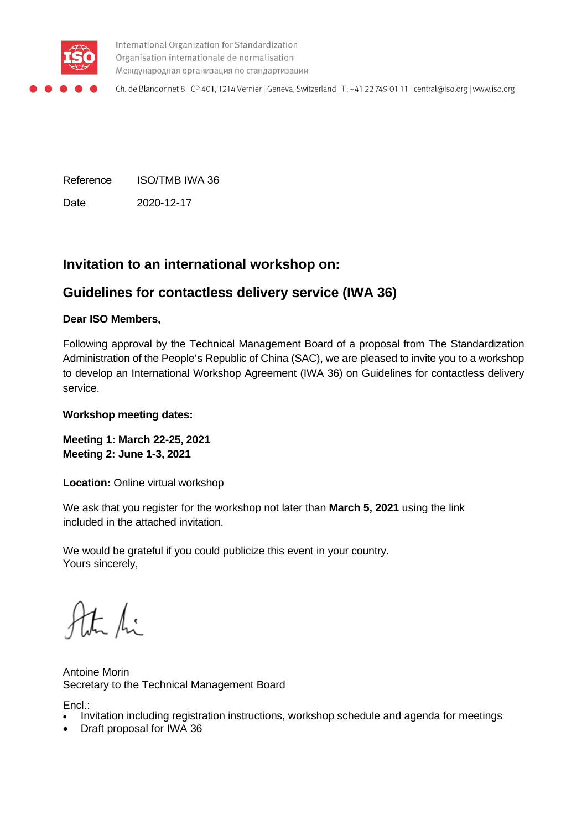

International Organization for Standardization Organisation internationale de normalisation Международная организация по стандартизации

Ch. de Blandonnet 8 | CP 401, 1214 Vernier | Geneva, Switzerland | T: +41 22 749 01 11 | central@iso.org | www.iso.org

Reference ISO/TMB IWA 36 Date 2020-12-17

# **Invitation to an international workshop on:**

# **Guidelines for contactless delivery service (IWA 36)**

### **Dear ISO Members,**

Following approval by the Technical Management Board of a proposal from The Standardization Administration of the People's Republic of China (SAC), we are pleased to invite you to a workshop to develop an International Workshop Agreement (IWA 36) on Guidelines for contactless delivery service.

#### **Workshop meeting dates:**

**Meeting 1: March 22-25, 2021 Meeting 2: June 1-3, 2021**

**Location:** Online virtual workshop

We ask that you register for the workshop not later than **March 5, 2021** using the link included in the attached invitation.

We would be grateful if you could publicize this event in your country. Yours sincerely,

the fi

Antoine Morin Secretary to the Technical Management Board

Encl.:

- Invitation including registration instructions, workshop schedule and agenda for meetings
- Draft proposal for IWA 36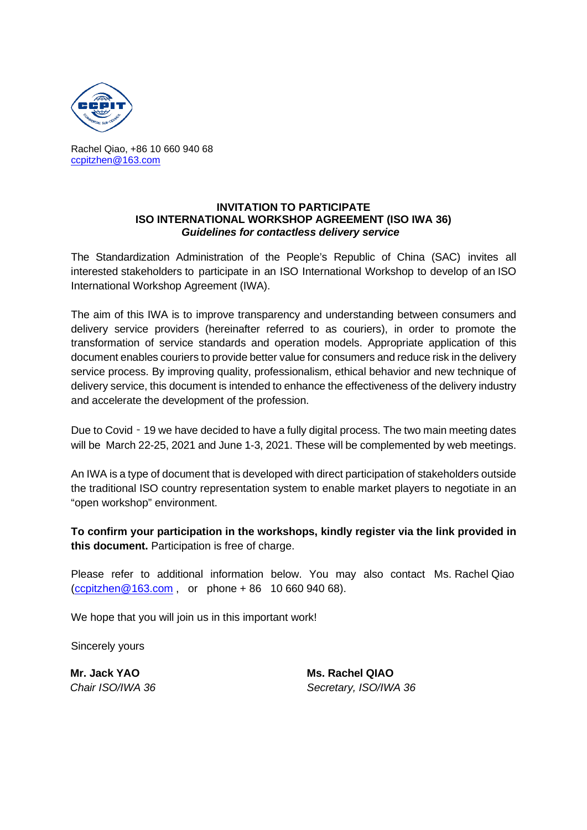

Rachel Qiao, +86 10 660 940 68 [ccpitzhen@163.com](mailto:ccpitzhen@163.com)

#### **INVITATION TO PARTICIPATE ISO INTERNATIONAL WORKSHOP AGREEMENT (ISO IWA 36)** *Guidelines for contactless delivery service*

The Standardization Administration of the People's Republic of China (SAC) invites all interested stakeholders to participate in an ISO International Workshop to develop of an ISO International Workshop Agreement (IWA).

The aim of this IWA is to improve transparency and understanding between consumers and delivery service providers (hereinafter referred to as couriers), in order to promote the transformation of service standards and operation models. Appropriate application of this document enables couriers to provide better value for consumers and reduce risk in the delivery service process. By improving quality, professionalism, ethical behavior and new technique of delivery service, this document is intended to enhance the effectiveness of the delivery industry and accelerate the development of the profession.

Due to Covid - 19 we have decided to have a fully digital process. The two main meeting dates will be March 22-25, 2021 and June 1-3, 2021. These will be complemented by web meetings.

An IWA is a type of document that is developed with direct participation of stakeholders outside the traditional ISO country representation system to enable market players to negotiate in an "open workshop" environment.

**To confirm your participation in the workshops, kindly register via the link provided in this document.** Participation is free of charge.

Please refer to additional information below. You may also contact Ms. Rachel Qiao [\(ccpitzhen@163.com](mailto:ccpitzhen@163.com) , or phone + 86 10 660 940 68).

We hope that you will join us in this important work!

Sincerely yours

**Mr. Jack YAO Ms. Rachel QIAO** *Chair ISO/IWA 36 Secretary, ISO/IWA 36*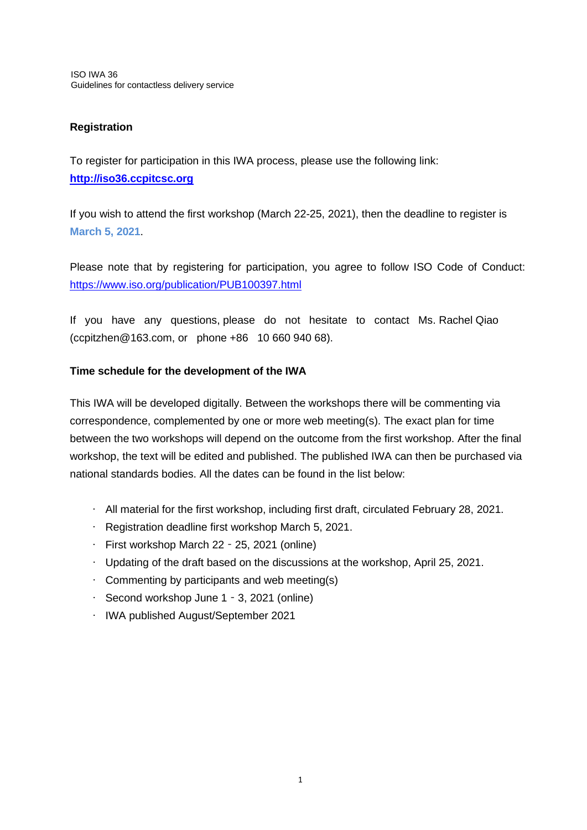## **Registration**

To register for participation in this IWA process, please use the following link: **[http://iso36.ccpitcsc.org](http://iso36.ccpitcsc.org/)**

If you wish to attend the first workshop (March 22-25, 2021), then the deadline to register is **March 5, 2021**.

Please note that by registering for participation, you agree to follow ISO Code of Conduct: <https://www.iso.org/publication/PUB100397.html>

If you have any questions, please do not hesitate to contact Ms. Rachel Qiao (ccpitzhen@163.com, or phone +86 10 660 940 68).

## **Time schedule for the development of the IWA**

This IWA will be developed digitally. Between the workshops there will be commenting via correspondence, complemented by one or more web meeting(s). The exact plan for time between the two workshops will depend on the outcome from the first workshop. After the final workshop, the text will be edited and published. The published IWA can then be purchased via national standards bodies. All the dates can be found in the list below:

- All material for the first workshop, including first draft, circulated February 28, 2021.
- Registration deadline first workshop March 5, 2021.
- First workshop March 22‐25, 2021 (online)
- Updating of the draft based on the discussions at the workshop, April 25, 2021.
- Commenting by participants and web meeting(s)
- Second workshop June 1‐3, 2021 (online)
- IWA published August/September 2021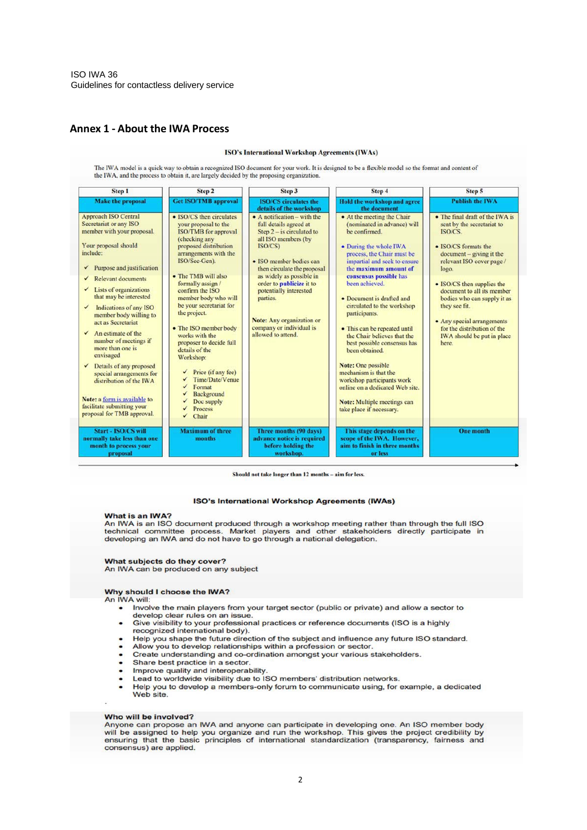#### **Annex 1 ‐ About the IWA Process**

#### ISO's International Workshop Agreements (IWAs)

The IWA model is a quick way to obtain a recognized ISO document for your work. It is designed to be a flexible model so the format and content of the IWA, and the process to obtain it, are largely decided by the proposing

| <b>Step 1</b><br><b>Make the proposal</b>                                                                                                                                                                                                                                                                                                                                                                                                                            | Step 2<br><b>Get ISO/TMB approval</b>                                                                                                                                                                                                                                                                                                            | Step 3<br><b>ISO/CS</b> circulates the<br>details of the workshop                                                                                                         | Step 4<br>Hold the workshop and agree<br>the document                                                                                                                                                                                                                                                                                                                                                           | Step 5<br><b>Publish the IWA</b>                                                                                                                                                                             |
|----------------------------------------------------------------------------------------------------------------------------------------------------------------------------------------------------------------------------------------------------------------------------------------------------------------------------------------------------------------------------------------------------------------------------------------------------------------------|--------------------------------------------------------------------------------------------------------------------------------------------------------------------------------------------------------------------------------------------------------------------------------------------------------------------------------------------------|---------------------------------------------------------------------------------------------------------------------------------------------------------------------------|-----------------------------------------------------------------------------------------------------------------------------------------------------------------------------------------------------------------------------------------------------------------------------------------------------------------------------------------------------------------------------------------------------------------|--------------------------------------------------------------------------------------------------------------------------------------------------------------------------------------------------------------|
|                                                                                                                                                                                                                                                                                                                                                                                                                                                                      |                                                                                                                                                                                                                                                                                                                                                  |                                                                                                                                                                           |                                                                                                                                                                                                                                                                                                                                                                                                                 |                                                                                                                                                                                                              |
| <b>Relevant documents</b><br>✓<br>Lists of organizations<br>that may be interested<br>Indications of any ISO<br>$\checkmark$<br>member body willing to<br>act as Secretariat<br>$\checkmark$ An estimate of the<br>number of meetings if<br>more than one is<br>envisaged<br>$\checkmark$ Details of any proposed<br>special arrangements for<br>distribution of the IWA<br>Note: a form is available to<br>facilitate submitting your<br>proposal for TMB approval. | • The TMB will also<br>formally assign /<br>confirm the ISO<br>member body who will<br>be your secretariat for<br>the project.<br>• The ISO member body<br>works with the<br>proposer to decide full<br>details of the<br>Workshop:<br>Price (if any fee)<br>Time/Date/Venue<br>Format<br>✓<br>Background<br>Doc supply<br>Process<br>Chair<br>✓ | as widely as possible in<br>order to publicize it to<br>potentially interested<br>parties.<br>Note: Any organization or<br>company or individual is<br>allowed to attend. | consensus possible has<br>been achieved.<br>• Document is drafted and<br>circulated to the workshop<br>participants.<br>• This can be repeated until<br>the Chair believes that the<br>best possible consensus has<br>been obtained.<br>Note: One possible<br>mechanism is that the<br>workshop participants work<br>online on a dedicated Web site.<br>Note: Multiple meetings can<br>take place if necessary. | • ISO/CS then supplies the<br>document to all its member<br>bodies who can supply it as<br>they see fit.<br>• Any special arrangements<br>for the distribution of the<br>IWA should be put in place<br>here. |
| Start - ISO/CS will<br>normally take less than one<br>month to process your<br>proposal                                                                                                                                                                                                                                                                                                                                                                              | <b>Maximum of three</b><br>months                                                                                                                                                                                                                                                                                                                | Three months (90 days)<br>advance notice is required<br>before holding the<br>workshop.                                                                                   | This stage depends on the<br>scope of the IWA. However,<br>aim to finish in three months<br>or less                                                                                                                                                                                                                                                                                                             | <b>One month</b>                                                                                                                                                                                             |

#### Should not take longer than 12 months - aim for less.

#### **ISO's International Workshop Agreements (IWAs)**

#### What is an IWA?

Via it sail ISO document produced through a workshop meeting rather than through the full ISO technical committee process. Market players and other stakeholders directly participate in developing an IWA and do not have to

What subjects do they cover? An IWA can be produced on any subject

#### Why should I choose the IWA?

- An IWA will:
	- . Involve the main players from your target sector (public or private) and allow a sector to develop clear rules on an issue.
	- Give visibility to your professional practices or reference documents (ISO is a highly recognized international body).
	- Help you shape the future direction of the subject and influence any future ISO standard.
	- Allow you to develop relationships within a profession or sector.
	- Create understanding and co-ordination amongst your various stakeholders.  $\bullet$
	- Share best practice in a sector.  $\bullet$
	- Improve quality and interoperability.
	- Lead to worldwide visibility due to ISO members' distribution networks.  $\bullet$
	- Lead to worldwide visibility due to ISO members' distribution networks.<br>Help you to develop a members-only forum to communicate using, for example, a dedicated<br>Web site.  $\bullet$

#### Who will be involved?

Anyone can propose an IWA and anyone can participate in developing one. An ISO member body will be assigned to help you organize and run the workshop. This gives the project credibility by ensuring that the basic principles of international standardization (transparency, fairness and consensus) are applied.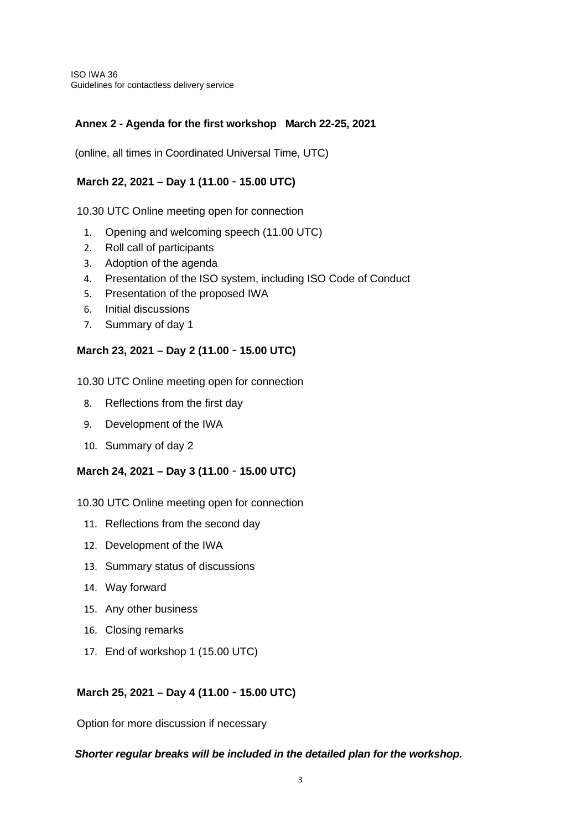ISO IWA 36 Guidelines for contactless delivery service

### **Annex 2 - Agenda for the first workshop March 22-25, 2021**

(online, all times in Coordinated Universal Time, UTC)

### **March 22, 2021 – Day 1 (11.00**‐**15.00 UTC)**

10.30 UTC Online meeting open for connection

- 1. Opening and welcoming speech (11.00 UTC)
- 2. Roll call of participants
- 3. Adoption of the agenda
- 4. Presentation of the ISO system, including ISO Code of Conduct
- 5. Presentation of the proposed IWA
- 6. Initial discussions
- 7. Summary of day 1

### **March 23, 2021 – Day 2 (11.00**‐**15.00 UTC)**

10.30 UTC Online meeting open for connection

- 8. Reflections from the first day
- 9. Development of the IWA
- 10. Summary of day 2

#### **March 24, 2021 – Day 3 (11.00**‐**15.00 UTC)**

10.30 UTC Online meeting open for connection

- 11. Reflections from the second day
- 12. Development of the IWA
- 13. Summary status of discussions
- 14. Way forward
- 15. Any other business
- 16. Closing remarks
- 17. End of workshop 1 (15.00 UTC)

#### **March 25, 2021 – Day 4 (11.00**‐**15.00 UTC)**

Option for more discussion if necessary

#### *Shorter regular breaks will be included in the detailed plan for the workshop.*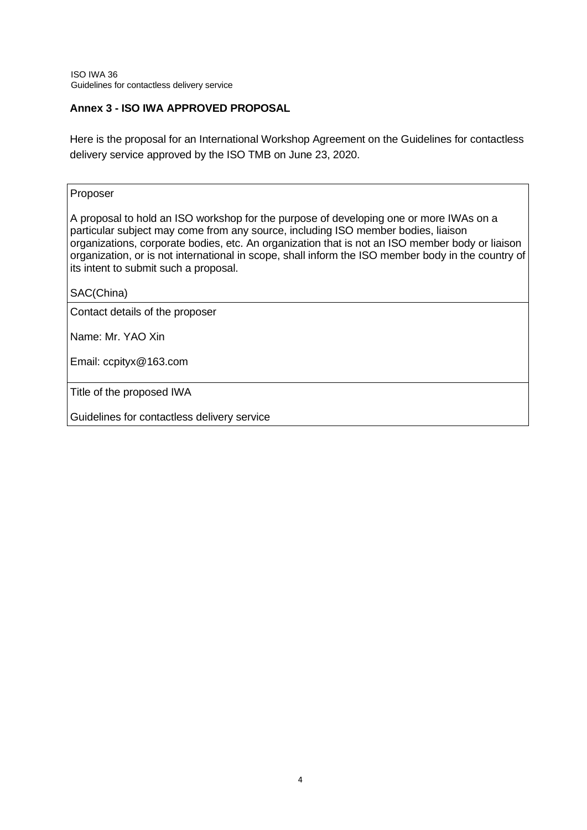### **Annex 3 - ISO IWA APPROVED PROPOSAL**

Here is the proposal for an International Workshop Agreement on the Guidelines for contactless delivery service approved by the ISO TMB on June 23, 2020.

#### Proposer

A proposal to hold an ISO workshop for the purpose of developing one or more IWAs on a particular subject may come from any source, including ISO member bodies, liaison organizations, corporate bodies, etc. An organization that is not an ISO member body or liaison organization, or is not international in scope, shall inform the ISO member body in the country of its intent to submit such a proposal.

SAC(China)

Contact details of the proposer

Name: Mr. YAO Xin

Email: ccpityx@163.com

Title of the proposed IWA

Guidelines for contactless delivery service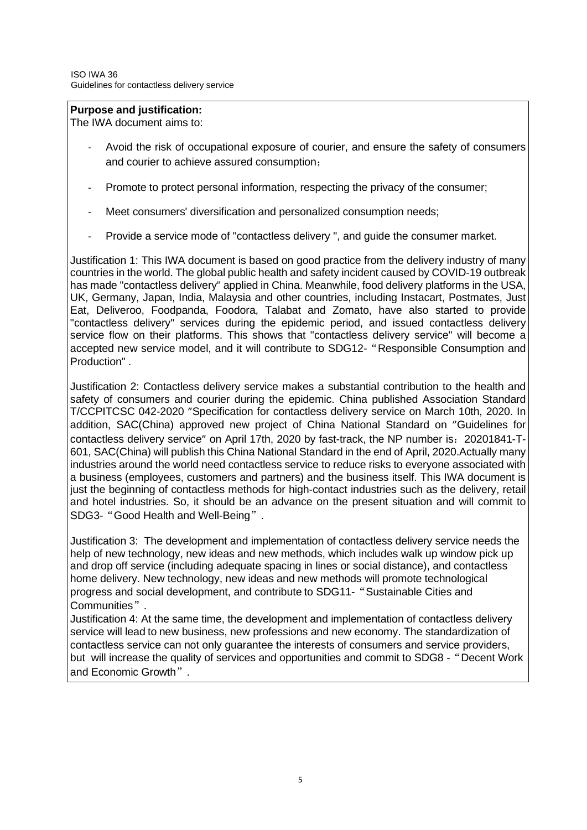## **Purpose and justification:**

The IWA document aims to:

- Avoid the risk of occupational exposure of courier, and ensure the safety of consumers and courier to achieve assured consumption;
- Promote to protect personal information, respecting the privacy of the consumer;
- Meet consumers' diversification and personalized consumption needs;
- Provide a service mode of "contactless delivery ", and guide the consumer market.

Justification 1: This IWA document is based on good practice from the delivery industry of many countries in the world. The global public health and safety incident caused by COVID-19 outbreak has made "contactless delivery" applied in China. Meanwhile, food delivery platforms in the USA, UK, Germany, Japan, India, Malaysia and other countries, including Instacart, Postmates, Just Eat, Deliveroo, Foodpanda, Foodora, Talabat and Zomato, have also started to provide "contactless delivery" services during the epidemic period, and issued contactless delivery service flow on their platforms. This shows that "contactless delivery service" will become a accepted new service model, and it will contribute to SDG12-"Responsible Consumption and Production" .

Justification 2: Contactless delivery service makes a substantial contribution to the health and safety of consumers and courier during the epidemic. China published Association Standard T/CCPITCSC 042-2020 "Specification for contactless delivery service on March 10th, 2020. In addition, SAC(China) approved new project of China National Standard on "Guidelines for contactless delivery service" on April 17th, 2020 by fast-track, the NP number is:20201841-T-601, SAC(China) will publish this China National Standard in the end of April, 2020.Actually many industries around the world need contactless service to reduce risks to everyone associated with a business (employees, customers and partners) and the business itself. This IWA document is just the beginning of contactless methods for high-contact industries such as the delivery, retail and hotel industries. So, it should be an advance on the present situation and will commit to SDG3-"Good Health and Well-Being".

Justification 3: The development and implementation of contactless delivery service needs the help of new technology, new ideas and new methods, which includes walk up window pick up and drop off service (including adequate spacing in lines or social distance), and contactless home delivery. New technology, new ideas and new methods will promote technological progress and social development, and contribute to SDG11-"Sustainable Cities and Communities".

Justification 4: At the same time, the development and implementation of contactless delivery service will lead to new business, new professions and new economy. The standardization of contactless service can not only guarantee the interests of consumers and service providers, but will increase the quality of services and opportunities and commit to SDG8 -"Decent Work and Economic Growth".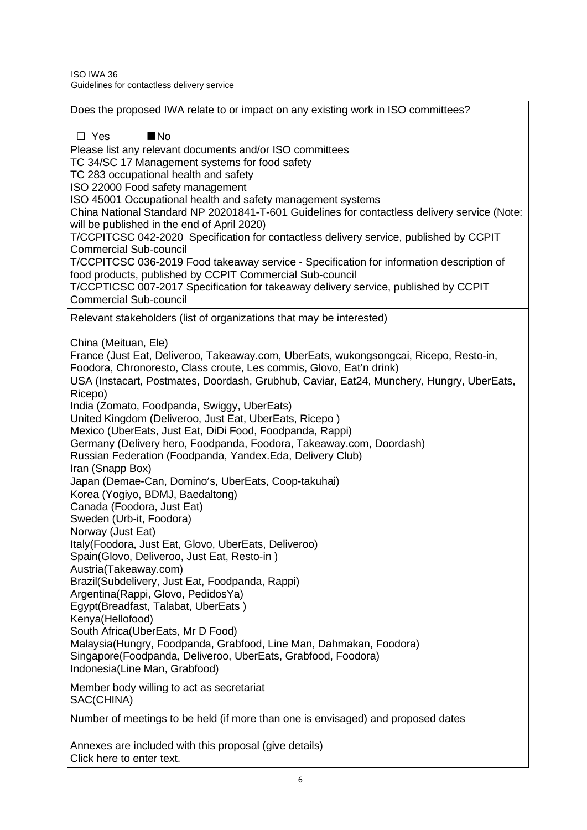Does the proposed IWA relate to or impact on any existing work in ISO committees? ☐ Yes ■No Please list any relevant documents and/or ISO committees TC 34/SC 17 Management systems for food safety TC 283 occupational health and safety ISO 22000 Food safety management ISO 45001 Occupational health and safety management systems China National Standard NP 20201841-T-601 Guidelines for contactless delivery service (Note: will be published in the end of April 2020) T/CCPITCSC 042-2020 Specification for contactless delivery service, published by CCPIT Commercial Sub-council T/CCPITCSC 036-2019 Food takeaway service - Specification for information description of food products, published by CCPIT Commercial Sub-council T/CCPTICSC 007-2017 Specification for takeaway delivery service, published by CCPIT Commercial Sub-council Relevant stakeholders (list of organizations that may be interested) China (Meituan, Ele) France (Just Eat, Deliveroo, Takeaway.com, UberEats, wukongsongcai, Ricepo, Resto-in, Foodora, Chronoresto, Class croute, Les commis, Glovo, Eat'n drink) USA (Instacart, Postmates, Doordash, Grubhub, Caviar, Eat24, Munchery, Hungry, UberEats, Ricepo) India (Zomato, Foodpanda, Swiggy, UberEats) United Kingdom (Deliveroo, Just Eat, UberEats, Ricepo ) Mexico (UberEats, Just Eat, DiDi Food, Foodpanda, Rappi) Germany (Delivery hero, Foodpanda, Foodora, Takeaway.com, Doordash) Russian Federation (Foodpanda, Yandex.Eda, Delivery Club) Iran (Snapp Box) Japan (Demae-Can, Domino's, UberEats, Coop-takuhai) Korea (Yogiyo, BDMJ, Baedaltong) Canada (Foodora, Just Eat) Sweden (Urb-it, Foodora) Norway (Just Eat) Italy(Foodora, Just Eat, Glovo, UberEats, Deliveroo) Spain(Glovo, Deliveroo, Just Eat, Resto-in ) Austria(Takeaway.com) Brazil(Subdelivery, Just Eat, Foodpanda, Rappi) Argentina(Rappi, Glovo, PedidosYa) Egypt(Breadfast, Talabat, UberEats ) Kenya(Hellofood) South Africa(UberEats, Mr D Food) Malaysia(Hungry, Foodpanda, Grabfood, Line Man, Dahmakan, Foodora) Singapore(Foodpanda, Deliveroo, UberEats, Grabfood, Foodora) Indonesia(Line Man, Grabfood) Member body willing to act as secretariat SAC(CHINA) Number of meetings to be held (if more than one is envisaged) and proposed dates Annexes are included with this proposal (give details)

Click here to enter text.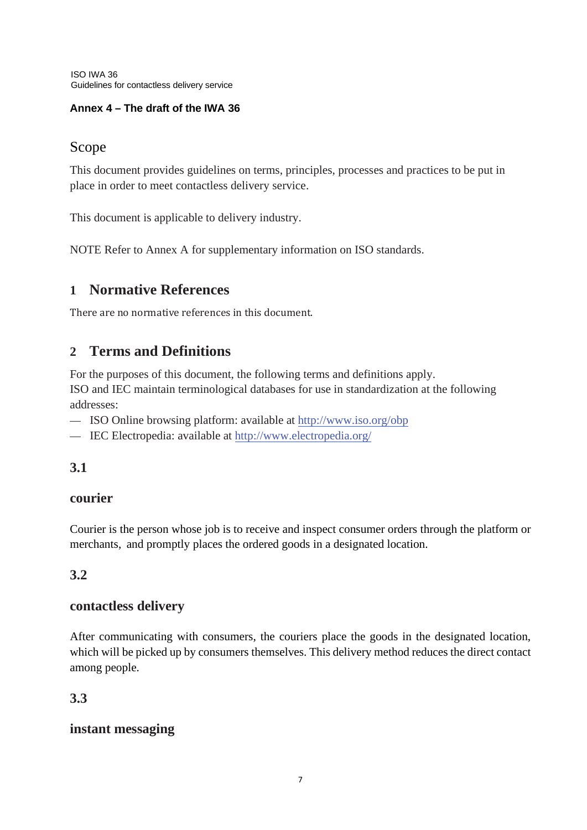ISO IWA 36 Guidelines for contactless delivery service

# **Annex 4 – The draft of the IWA 36**

# Scope

This document provides guidelines on terms, principles, processes and practices to be put in place in order to meet contactless delivery service.

This document is applicable to delivery industry.

NOTE Refer to Annex A for supplementary information on ISO standards.

# **1 Normative References**

There are no normative references in this document.

# **2 Terms and Definitions**

For the purposes of this document, the following terms and definitions apply.

ISO and IEC maintain terminological databases for use in standardization at the following addresses:

- ISO Online browsing platform: available at<http://www.iso.org/obp>
- IEC Electropedia: available at<http://www.electropedia.org/>

# **3.1**

# **courier**

Courier is the person whose job is to receive and inspect consumer orders through the platform or merchants, and promptly places the ordered goods in a designated location.

# **3.2**

# **contactless delivery**

After communicating with consumers, the couriers place the goods in the designated location, which will be picked up by consumers themselves. This delivery method reduces the direct contact among people.

# **3.3**

# **instant messaging**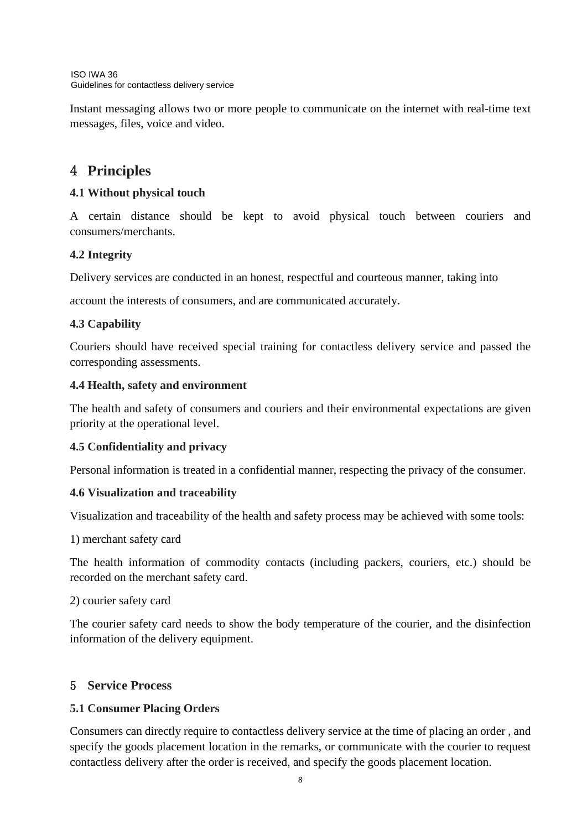Instant messaging allows two or more people to communicate on the internet with real-time text messages, files, voice and video.

# 4 **Principles**

# **4.1 Without physical touch**

A certain distance should be kept to avoid physical touch between couriers and consumers/merchants.

# **4.2 Integrity**

Delivery services are conducted in an honest, respectful and courteous manner, taking into

account the interests of consumers, and are communicated accurately.

# **4.3 Capability**

Couriers should have received special training for contactless delivery service and passed the corresponding assessments.

# **4.4 Health, safety and environment**

The health and safety of consumers and couriers and their environmental expectations are given priority at the operational level.

# **4.5 Confidentiality and privacy**

Personal information is treated in a confidential manner, respecting the privacy of the consumer.

# **4.6 Visualization and traceability**

Visualization and traceability of the health and safety process may be achieved with some tools:

1) merchant safety card

The health information of commodity contacts (including packers, couriers, etc.) should be recorded on the merchant safety card.

2) courier safety card

The courier safety card needs to show the body temperature of the courier, and the disinfection information of the delivery equipment.

# 5 **Service Process**

# **5.1 Consumer Placing Orders**

Consumers can directly require to contactless delivery service at the time of placing an order , and specify the goods placement location in the remarks, or communicate with the courier to request contactless delivery after the order is received, and specify the goods placement location.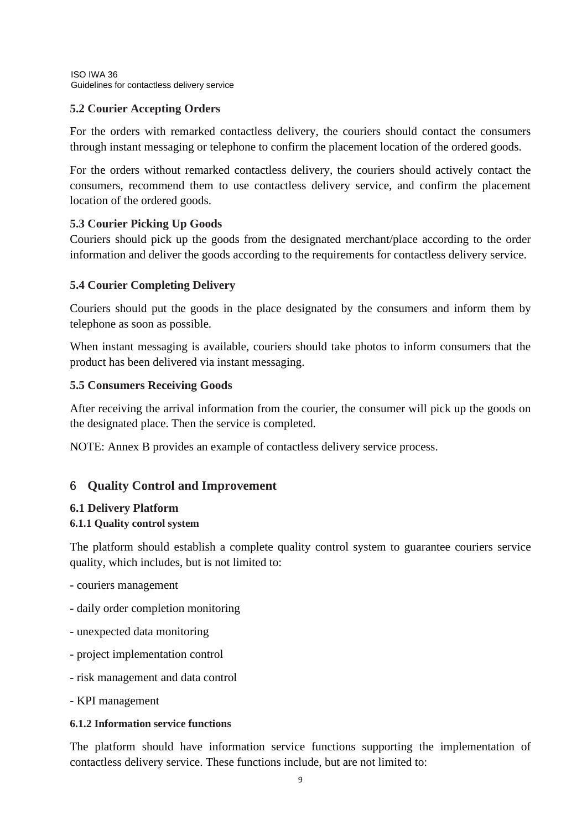## **5.2 Courier Accepting Orders**

For the orders with remarked contactless delivery, the couriers should contact the consumers through instant messaging or telephone to confirm the placement location of the ordered goods.

For the orders without remarked contactless delivery, the couriers should actively contact the consumers, recommend them to use contactless delivery service, and confirm the placement location of the ordered goods.

## **5.3 Courier Picking Up Goods**

Couriers should pick up the goods from the designated merchant/place according to the order information and deliver the goods according to the requirements for contactless delivery service.

## **5.4 Courier Completing Delivery**

Couriers should put the goods in the place designated by the consumers and inform them by telephone as soon as possible.

When instant messaging is available, couriers should take photos to inform consumers that the product has been delivered via instant messaging.

## **5.5 Consumers Receiving Goods**

After receiving the arrival information from the courier, the consumer will pick up the goods on the designated place. Then the service is completed.

NOTE: Annex B provides an example of contactless delivery service process.

# 6 **Quality Control and Improvement**

## **6.1 Delivery Platform**

## **6.1.1 Quality control system**

The platform should establish a complete quality control system to guarantee couriers service quality, which includes, but is not limited to:

- couriers management
- daily order completion monitoring
- unexpected data monitoring
- project implementation control
- risk management and data control
- KPI management

## **6.1.2 Information service functions**

The platform should have information service functions supporting the implementation of contactless delivery service. These functions include, but are not limited to: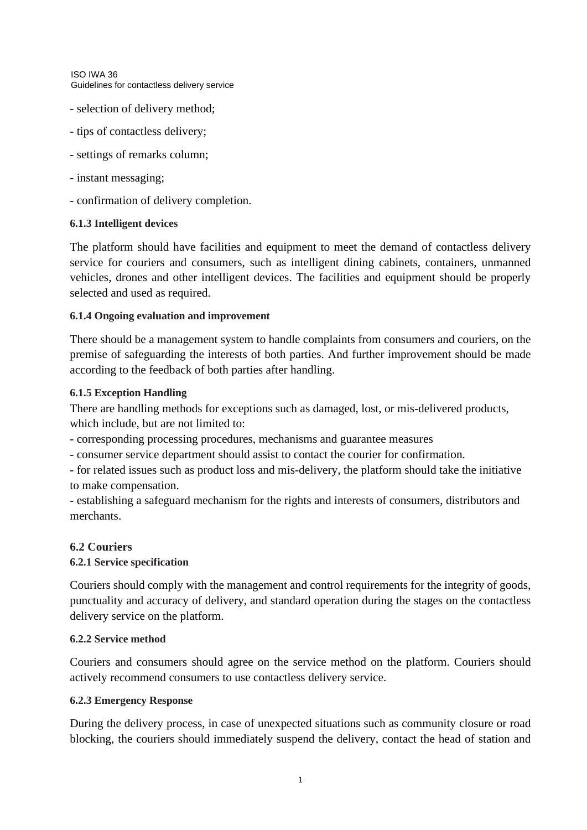ISO IWA 36 Guidelines for contactless delivery service

- selection of delivery method;
- tips of contactless delivery;
- settings of remarks column;
- instant messaging;
- confirmation of delivery completion.

#### **6.1.3 Intelligent devices**

The platform should have facilities and equipment to meet the demand of contactless delivery service for couriers and consumers, such as intelligent dining cabinets, containers, unmanned vehicles, drones and other intelligent devices. The facilities and equipment should be properly selected and used as required.

#### **6.1.4 Ongoing evaluation and improvement**

There should be a management system to handle complaints from consumers and couriers, on the premise of safeguarding the interests of both parties. And further improvement should be made according to the feedback of both parties after handling.

#### **6.1.5 Exception Handling**

There are handling methods for exceptions such as damaged, lost, or mis-delivered products, which include, but are not limited to:

- corresponding processing procedures, mechanisms and guarantee measures

- consumer service department should assist to contact the courier for confirmation.

- for related issues such as product loss and mis-delivery, the platform should take the initiative to make compensation.

- establishing a safeguard mechanism for the rights and interests of consumers, distributors and merchants.

## **6.2 Couriers**

### **6.2.1 Service specification**

Couriers should comply with the management and control requirements for the integrity of goods, punctuality and accuracy of delivery, and standard operation during the stages on the contactless delivery service on the platform.

#### **6.2.2 Service method**

Couriers and consumers should agree on the service method on the platform. Couriers should actively recommend consumers to use contactless delivery service.

#### **6.2.3 Emergency Response**

During the delivery process, in case of unexpected situations such as community closure or road blocking, the couriers should immediately suspend the delivery, contact the head of station and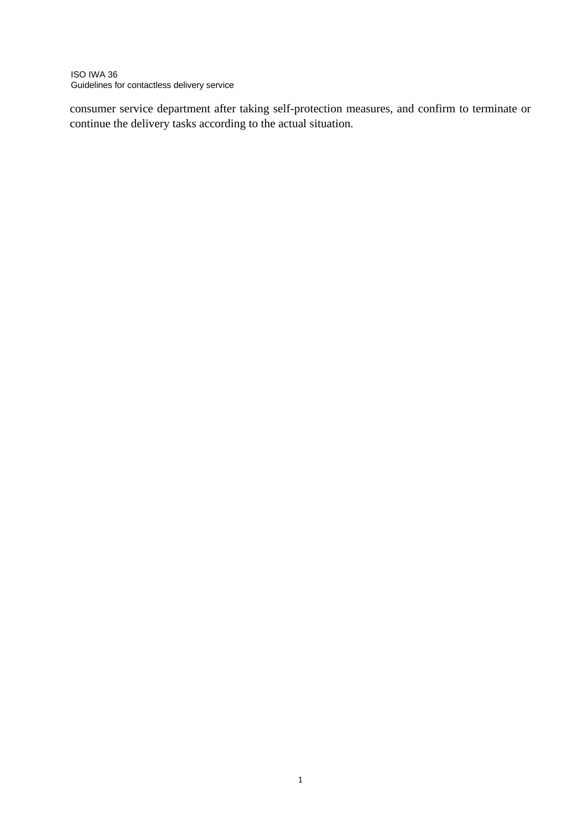ISO IWA 36 Guidelines for contactless delivery service

consumer service department after taking self-protection measures, and confirm to terminate or continue the delivery tasks according to the actual situation.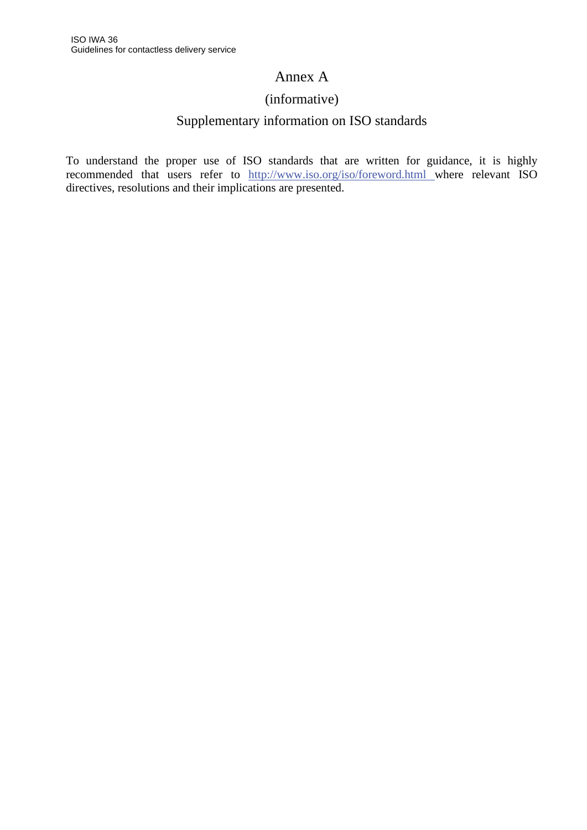# Annex A

# (informative)

# Supplementary information on ISO standards

To understand the proper use of ISO standards that are written for guidance, it is highly recommended that users refer to [http://www.iso.org/i](http://www.iso.org/obp)so/foreword.html where relevant ISO directives, resolutions and their implications are presented.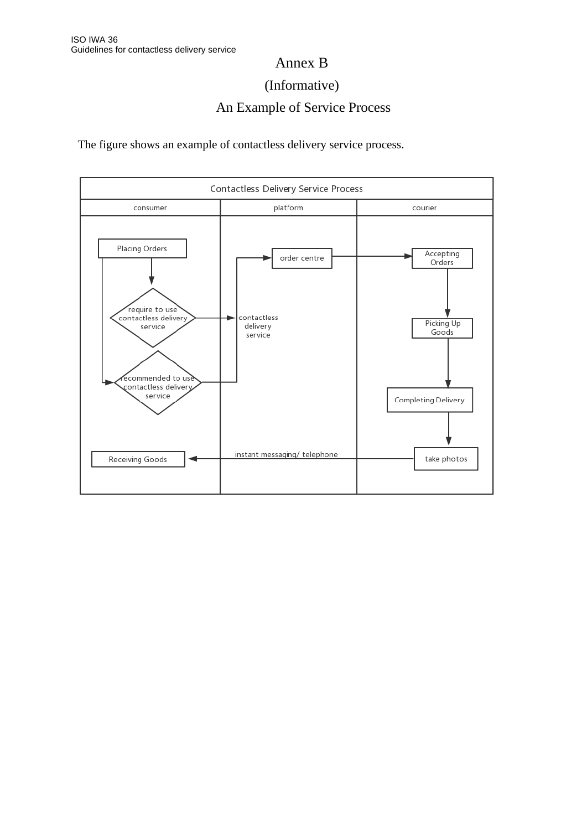# Annex B

# (Informative)

# An Example of Service Process

The figure shows an example of contactless delivery service process.